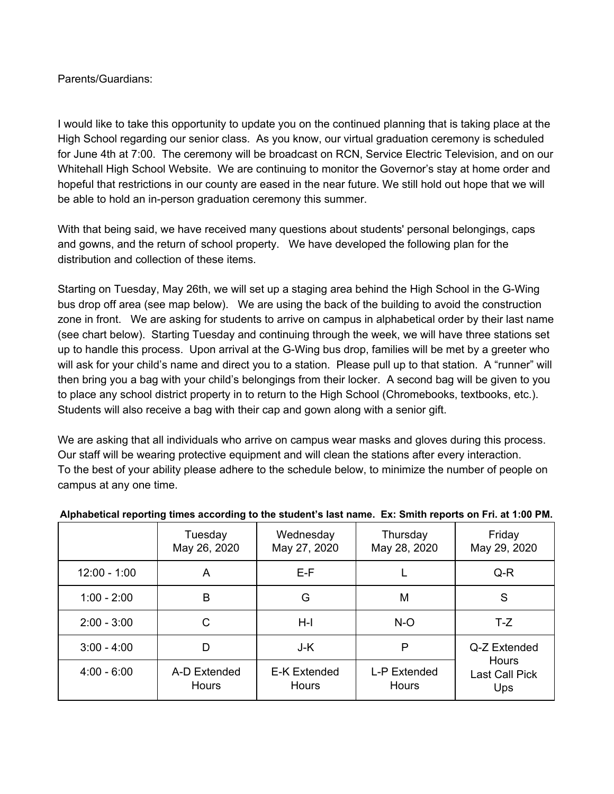## Parents/Guardians:

I would like to take this opportunity to update you on the continued planning that is taking place at the High School regarding our senior class. As you know, our virtual graduation ceremony is scheduled for June 4th at 7:00. The ceremony will be broadcast on RCN, Service Electric Television, and on our Whitehall High School Website. We are continuing to monitor the Governor's stay at home order and hopeful that restrictions in our county are eased in the near future. We still hold out hope that we will be able to hold an in-person graduation ceremony this summer.

With that being said, we have received many questions about students' personal belongings, caps and gowns, and the return of school property. We have developed the following plan for the distribution and collection of these items.

Starting on Tuesday, May 26th, we will set up a staging area behind the High School in the G-Wing bus drop off area (see map below). We are using the back of the building to avoid the construction zone in front. We are asking for students to arrive on campus in alphabetical order by their last name (see chart below). Starting Tuesday and continuing through the week, we will have three stations set up to handle this process. Upon arrival at the G-Wing bus drop, families will be met by a greeter who will ask for your child's name and direct you to a station. Please pull up to that station. A "runner" will then bring you a bag with your child's belongings from their locker. A second bag will be given to you to place any school district property in to return to the High School (Chromebooks, textbooks, etc.). Students will also receive a bag with their cap and gown along with a senior gift.

We are asking that all individuals who arrive on campus wear masks and gloves during this process. Our staff will be wearing protective equipment and will clean the stations after every interaction. To the best of your ability please adhere to the schedule below, to minimize the number of people on campus at any one time.

|                | Tuesday<br>May 26, 2020 | Wednesday<br>May 27, 2020           | Thursday<br>May 28, 2020     | Friday<br>May 29, 2020                                |
|----------------|-------------------------|-------------------------------------|------------------------------|-------------------------------------------------------|
| $12:00 - 1:00$ | A                       | $E-F$                               |                              | Q-R                                                   |
| $1:00 - 2:00$  | B                       | G                                   | M                            | S                                                     |
| $2:00 - 3:00$  | С                       | $H-I$                               | $N-O$                        | $T-Z$                                                 |
| $3:00 - 4:00$  | D                       | J-K                                 | Ρ                            | Q-Z Extended<br>Hours<br><b>Last Call Pick</b><br>Ups |
| $4:00 - 6:00$  | A-D Extended<br>Hours   | <b>E-K Extended</b><br><b>Hours</b> | L-P Extended<br><b>Hours</b> |                                                       |

## **Alphabetical reporting times according to the student's last name. Ex: Smith reports on Fri. at 1:00 PM.**